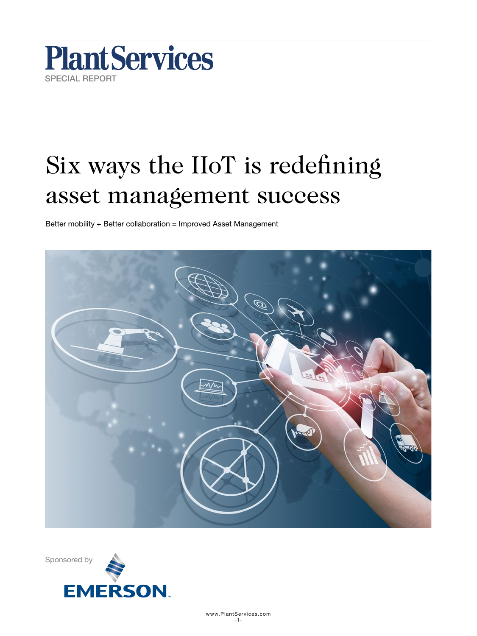

# Six ways the IIoT is redefining asset management success

Better mobility + Better collaboration = Improved Asset Management



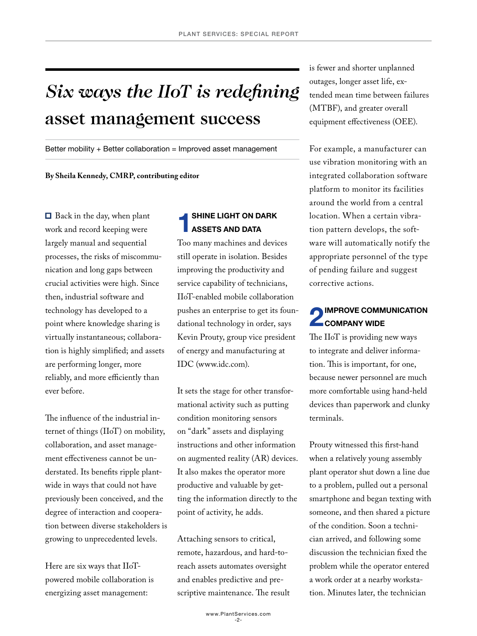## *Six ways the IIoT is redefining*  asset management success

Better mobility + Better collaboration = Improved asset management

**By Sheila Kennedy, CMRP, contributing editor**

■ Back in the day, when plant work and record keeping were largely manual and sequential processes, the risks of miscommunication and long gaps between crucial activities were high. Since then, industrial software and technology has developed to a point where knowledge sharing is virtually instantaneous; collaboration is highly simplified; and assets are performing longer, more reliably, and more efficiently than ever before.

The influence of the industrial internet of things (IIoT) on mobility, collaboration, and asset management effectiveness cannot be understated. Its benefits ripple plantwide in ways that could not have previously been conceived, and the degree of interaction and cooperation between diverse stakeholders is growing to unprecedented levels.

Here are six ways that IIoTpowered mobile collaboration is energizing asset management:

#### **SHINE LIGHT ON DARK** ASSETS AND DATA

Too many machines and devices still operate in isolation. Besides improving the productivity and service capability of technicians, IIoT-enabled mobile collaboration pushes an enterprise to get its foundational technology in order, says Kevin Prouty, group vice president of energy and manufacturing at IDC (www.idc.com).

It sets the stage for other transformational activity such as putting condition monitoring sensors on "dark" assets and displaying instructions and other information on augmented reality (AR) devices. It also makes the operator more productive and valuable by getting the information directly to the point of activity, he adds.

Attaching sensors to critical, remote, hazardous, and hard-toreach assets automates oversight and enables predictive and prescriptive maintenance. The result is fewer and shorter unplanned outages, longer asset life, extended mean time between failures (MTBF), and greater overall equipment effectiveness (OEE).

For example, a manufacturer can use vibration monitoring with an integrated collaboration software platform to monitor its facilities around the world from a central location. When a certain vibration pattern develops, the software will automatically notify the appropriate personnel of the type of pending failure and suggest corrective actions.

### **2** IMPROVE COMMUNICATION **COMPANY WIDE**

The IIoT is providing new ways to integrate and deliver information. This is important, for one, because newer personnel are much more comfortable using hand-held devices than paperwork and clunky terminals.

Prouty witnessed this first-hand when a relatively young assembly plant operator shut down a line due to a problem, pulled out a personal smartphone and began texting with someone, and then shared a picture of the condition. Soon a technician arrived, and following some discussion the technician fixed the problem while the operator entered a work order at a nearby workstation. Minutes later, the technician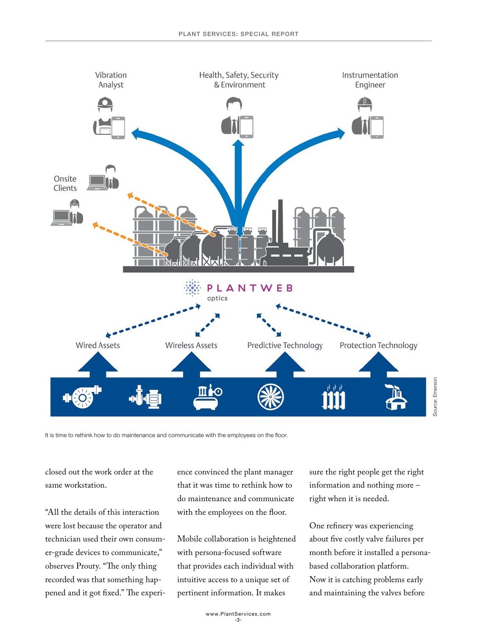

It is time to rethink how to do maintenance and communicate with the employees on the floor.

closed out the work order at the same workstation.

"All the details of this interaction were lost because the operator and technician used their own consumer-grade devices to communicate," observes Prouty. "The only thing recorded was that something happened and it got fixed." The experience convinced the plant manager that it was time to rethink how to do maintenance and communicate with the employees on the floor.

Mobile collaboration is heightened with persona-focused software that provides each individual with intuitive access to a unique set of pertinent information. It makes

sure the right people get the right information and nothing more – right when it is needed.

One refinery was experiencing about five costly valve failures per month before it installed a personabased collaboration platform. Now it is catching problems early and maintaining the valves before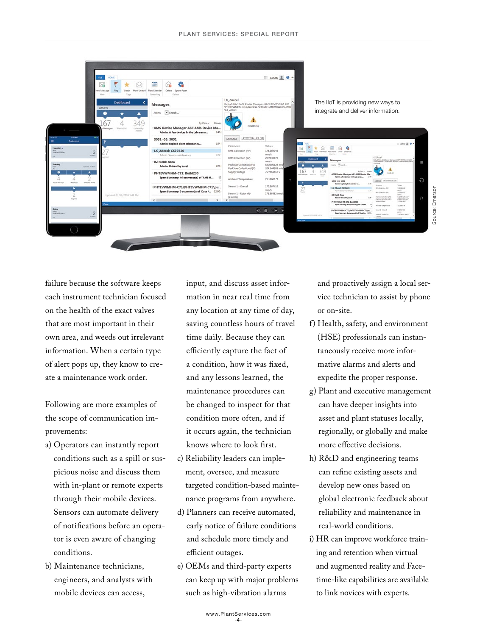

failure because the software keeps each instrument technician focused on the health of the exact valves that are most important in their own area, and weeds out irrelevant information. When a certain type of alert pops up, they know to create a maintenance work order.

Following are more examples of the scope of communication improvements:

- a) Operators can instantly report conditions such as a spill or suspicious noise and discuss them with in-plant or remote experts through their mobile devices. Sensors can automate delivery of notifications before an operator is even aware of changing conditions.
- b) Maintenance technicians, engineers, and analysts with mobile devices can access,

input, and discuss asset information in near real time from any location at any time of day, saving countless hours of travel time daily. Because they can efficiently capture the fact of a condition, how it was fixed, and any lessons learned, the maintenance procedures can be changed to inspect for that condition more often, and if it occurs again, the technician knows where to look first.

- c) Reliability leaders can implement, oversee, and measure targeted condition-based maintenance programs from anywhere.
- d) Planners can receive automated, early notice of failure conditions and schedule more timely and efficient outages.
- e) OEMs and third-party experts can keep up with major problems such as high-vibration alarms

and proactively assign a local service technician to assist by phone or on-site.

- f) Health, safety, and environment (HSE) professionals can instantaneously receive more informative alarms and alerts and expedite the proper response.
- g) Plant and executive management can have deeper insights into asset and plant statuses locally, regionally, or globally and make more effective decisions.
- h) R&D and engineering teams can refine existing assets and develop new ones based on global electronic feedback about reliability and maintenance in real-world conditions.
- i) HR can improve workforce training and retention when virtual and augmented reality and Facetime-like capabilities are available to link novices with experts.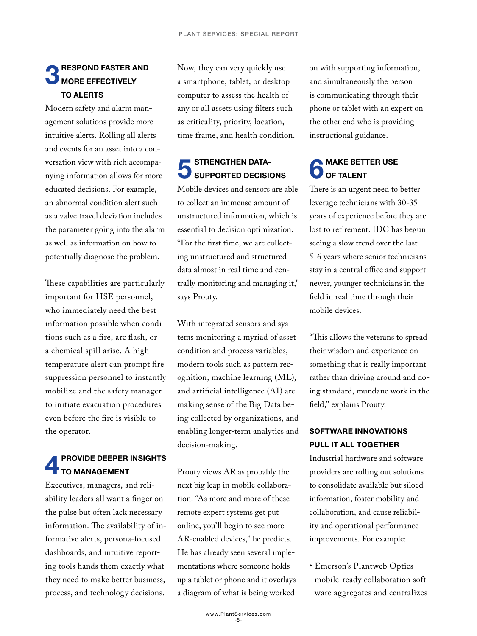#### **RESPOND FASTER AND** MORE EFFECTIVELY TO ALERTS

Modern safety and alarm management solutions provide more intuitive alerts. Rolling all alerts and events for an asset into a conversation view with rich accompanying information allows for more educated decisions. For example, an abnormal condition alert such as a valve travel deviation includes the parameter going into the alarm as well as information on how to potentially diagnose the problem.

These capabilities are particularly important for HSE personnel, who immediately need the best information possible when conditions such as a fire, arc flash, or a chemical spill arise. A high temperature alert can prompt fire suppression personnel to instantly mobilize and the safety manager to initiate evacuation procedures even before the fire is visible to the operator.

#### PROVIDE DEEPER INSIGHTS TO MANAGEMENT

Executives, managers, and reliability leaders all want a finger on the pulse but often lack necessary information. The availability of informative alerts, persona-focused dashboards, and intuitive reporting tools hands them exactly what they need to make better business, process, and technology decisions.

Now, they can very quickly use a smartphone, tablet, or desktop computer to assess the health of any or all assets using filters such as criticality, priority, location, time frame, and health condition.

#### **STRENGTHEN DATA-**SUPPORTED DECISIONS

Mobile devices and sensors are able to collect an immense amount of unstructured information, which is essential to decision optimization. "For the first time, we are collecting unstructured and structured data almost in real time and centrally monitoring and managing it," says Prouty.

With integrated sensors and systems monitoring a myriad of asset condition and process variables, modern tools such as pattern recognition, machine learning (ML), and artificial intelligence (AI) are making sense of the Big Data being collected by organizations, and enabling longer-term analytics and decision-making.

Prouty views AR as probably the next big leap in mobile collaboration. "As more and more of these remote expert systems get put online, you'll begin to see more AR-enabled devices," he predicts. He has already seen several implementations where someone holds up a tablet or phone and it overlays a diagram of what is being worked

on with supporting information, and simultaneously the person is communicating through their phone or tablet with an expert on the other end who is providing instructional guidance.

### **MAKE BETTER USE** OF TALENT

There is an urgent need to better leverage technicians with 30-35 years of experience before they are lost to retirement. IDC has begun seeing a slow trend over the last 5-6 years where senior technicians stay in a central office and support newer, younger technicians in the field in real time through their mobile devices.

"This allows the veterans to spread their wisdom and experience on something that is really important rather than driving around and doing standard, mundane work in the field," explains Prouty.

#### SOFTWARE INNOVATIONS PULL IT ALL TOGETHER

Industrial hardware and software providers are rolling out solutions to consolidate available but siloed information, foster mobility and collaboration, and cause reliability and operational performance improvements. For example:

• Emerson's Plantweb Optics mobile-ready collaboration software aggregates and centralizes